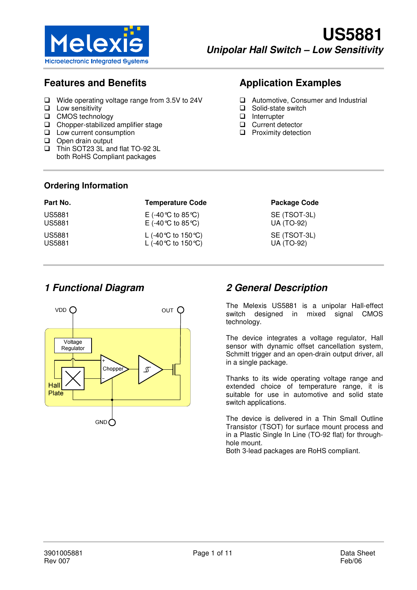

# **Features and Benefits**

- Wide operating voltage range from 3.5V to 24V
- $\Box$  Low sensitivity
- □ CMOS technology
- Chopper-stabilized amplifier stage
- **Low current consumption**
- Open drain output
- Thin SOT23 3L and flat TO-92 3L both RoHS Compliant packages

# **Application Examples**

- **Q** Automotive, Consumer and Industrial
- □ Solid-state switch
- **Interrupter**
- **Q** Current detector
- **Q** Proximity detection

#### **Ordering Information**

| Part No.      | <b>Temperature Code</b> | <b>Package Code</b> |
|---------------|-------------------------|---------------------|
| US5881        | E (-40 ℃ to 85 ℃)       | SE (TSOT-3L)        |
| US5881        | E (-40 ℃ to 85 ℃)       | UA (TO-92)          |
| <b>US5881</b> | L (-40 °C to 150 °C)    | SE (TSOT-3L)        |
| <b>US5881</b> | L (-40 °C to 150 °C)    | UA (TO-92)          |



## **1 Functional Diagram 2 General Description**

The Melexis US5881 is a unipolar Hall-effect switch designed in mixed signal CMOS technology.

The device integrates a voltage regulator, Hall sensor with dynamic offset cancellation system, Schmitt trigger and an open-drain output driver, all in a single package.

Thanks to its wide operating voltage range and extended choice of temperature range, it is suitable for use in automotive and solid state switch applications.

The device is delivered in a Thin Small Outline Transistor (TSOT) for surface mount process and in a Plastic Single In Line (TO-92 flat) for throughhole mount.

Both 3-lead packages are RoHS compliant.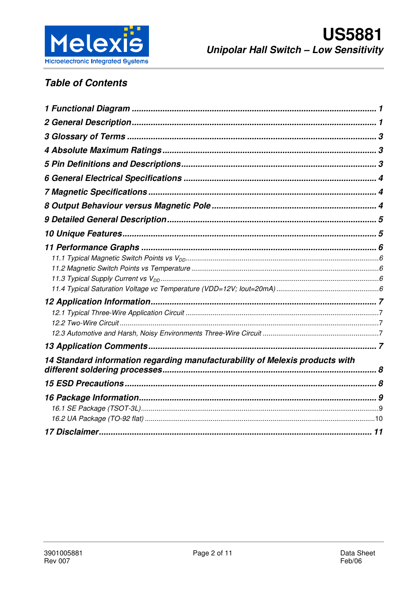

# **Table of Contents**

| 14 Standard information regarding manufacturability of Melexis products with |  |
|------------------------------------------------------------------------------|--|
|                                                                              |  |
|                                                                              |  |
|                                                                              |  |
|                                                                              |  |
|                                                                              |  |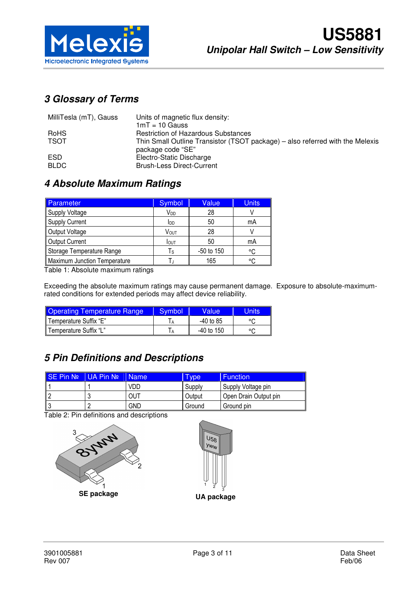

# **3 Glossary of Terms**

| MilliTesla (mT), Gauss | Units of magnetic flux density:                                                                    |
|------------------------|----------------------------------------------------------------------------------------------------|
|                        | $1mT = 10$ Gauss                                                                                   |
| <b>RoHS</b>            | <b>Restriction of Hazardous Substances</b>                                                         |
| <b>TSOT</b>            | Thin Small Outline Transistor (TSOT package) – also referred with the Melexis<br>package code "SE" |
| <b>ESD</b>             | Electro-Static Discharge                                                                           |
| <b>BLDC</b>            | <b>Brush-Less Direct-Current</b>                                                                   |

### **4 Absolute Maximum Ratings**

| Parameter                    | Symbol | Value      | <b>Units</b> |
|------------------------------|--------|------------|--------------|
| <b>Supply Voltage</b>        | Vdd    | 28         |              |
| <b>Supply Current</b>        | Idd    | 50         | mA           |
| Output Voltage               | VOUT   | 28         |              |
| <b>Output Current</b>        | Iout   | 50         | mA           |
| Storage Temperature Range    | Τs     | -50 to 150 | °C           |
| Maximum Junction Temperature |        | 165        | ۰c           |

Table 1: Absolute maximum ratings

Exceeding the absolute maximum ratings may cause permanent damage. Exposure to absolute-maximumrated conditions for extended periods may affect device reliability.

| <b>Operating Temperature Range</b> | Symbol | Valuel       | Units   |
|------------------------------------|--------|--------------|---------|
| Temperature Suffix "E"             |        | -40 to 85    | $\circ$ |
| l Temperature Suffix "L"           |        | $-40$ to 150 | $\circ$ |

# **5 Pin Definitions and Descriptions**

| ISE Pin No | <b>UA Pin Nº</b> | I Name     | I vpe  | <b>Function</b>       |
|------------|------------------|------------|--------|-----------------------|
|            |                  | VDD        | Supply | Supply Voltage pin    |
|            |                  | OUT        | Output | Open Drain Output pin |
|            |                  | <b>GND</b> | Ground | Ground pin            |

Table 2: Pin definitions and descriptions



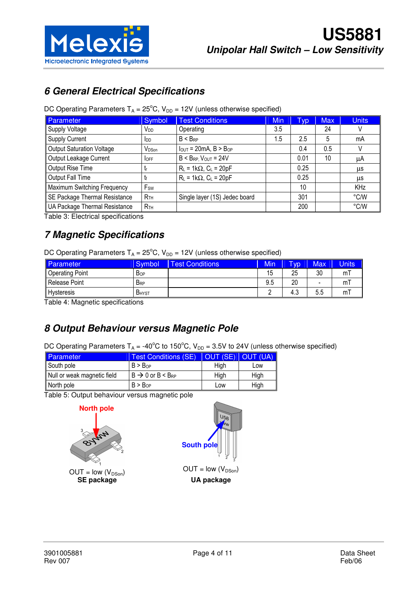

# **6 General Electrical Specifications**

|  |  |  |  | DC Operating Parameters $T_A = 25^{\circ}C$ , $V_{DD} = 12V$ (unless otherwise specified) |
|--|--|--|--|-------------------------------------------------------------------------------------------|
|--|--|--|--|-------------------------------------------------------------------------------------------|

| Parameter                        | Symbol            | <b>Test Conditions</b>          | <b>Min</b> | Typ  | <b>Max</b> | <b>Units</b> |
|----------------------------------|-------------------|---------------------------------|------------|------|------------|--------------|
| Supply Voltage                   | Vdd               | Operating                       | 3.5        |      | 24         | V            |
| Supply Current                   | $I_{DD}$          | $B < B_{RP}$                    | 1.5        | 2.5  | 5          | mA           |
| <b>Output Saturation Voltage</b> | V <sub>DSon</sub> | $I_{OUT} = 20mA$ , $B > B_{OP}$ |            | 0.4  | 0.5        |              |
| Output Leakage Current           | <b>OFF</b>        | $B < B_{RP}$ , $V_{OUT} = 24V$  |            | 0.01 | 10         | μA           |
| Output Rise Time                 | t                 | $R_L = 1k\Omega$ , $C_L = 20pF$ |            | 0.25 |            | μs           |
| Output Fall Time                 |                   | $R_L = 1k\Omega$ , $C_L = 20pF$ |            | 0.25 |            | μs           |
| Maximum Switching Frequency      | F <sub>sw</sub>   |                                 |            | 10   |            | <b>KHz</b>   |
| SE Package Thermal Resistance    | R <sub>TH</sub>   | Single layer (1S) Jedec board   |            | 301  |            | °C/W         |
| UA Package Thermal Resistance    | R <sub>TH</sub>   |                                 |            | 200  |            | °C/W         |

Table 3: Electrical specifications

## **7 Magnetic Specifications**

DC Operating Parameters  $T_A = 25^{\circ}$ C, V<sub>DD</sub> = 12V (unless otherwise specified)

| Parameter              | Symbol                 | <b>Fest Conditions</b> | Min | <b>Typ</b> | <b>Max</b>               | Units |
|------------------------|------------------------|------------------------|-----|------------|--------------------------|-------|
| <b>Operating Point</b> | <b>Bop</b>             |                        | 15  | 25         | 30                       | mı    |
| Release Point          | <b>B</b> <sub>RP</sub> |                        | 9.5 | 20         | $\overline{\phantom{a}}$ | m     |
| <b>Hysteresis</b>      | <b>B</b> HYST          |                        |     | ⌒<br>د.4   | 5.5                      | ml    |

Table 4: Magnetic specifications

# **8 Output Behaviour versus Magnetic Pole**

DC Operating Parameters  $T_A = -40^{\circ}$ C to 150°C,  $V_{DD} = 3.5V$  to 24V (unless otherwise specified)

| <b>Parameter</b>            | Test Conditions (SE)              | <b>IOUT (SE) OUT (UA)</b> |      |
|-----------------------------|-----------------------------------|---------------------------|------|
| South pole                  | B > B <sub>OP</sub>               | Hiah                      | Low  |
| Null or weak magnetic field | $B \rightarrow 0$ or $B < B_{RP}$ | High                      | High |
| North pole                  | B > B <sub>OP</sub>               | Low                       | High |

Table 5: Output behaviour versus magnetic pole



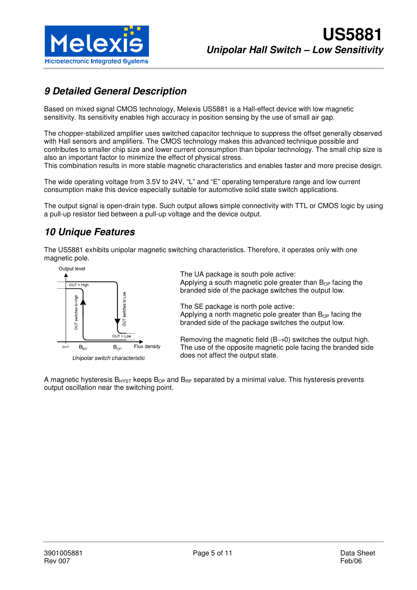

# **9 Detailed General Description**

Based on mixed signal CMOS technology, Melexis US5881 is a Hall-effect device with low magnetic sensitivity. Its sensitivity enables high accuracy in position sensing by the use of small air gap.

The chopper-stabilized amplifier uses switched capacitor technique to suppress the offset generally observed with Hall sensors and amplifiers. The CMOS technology makes this advanced technique possible and contributes to smaller chip size and lower current consumption than bipolar technology. The small chip size is also an important factor to minimize the effect of physical stress.

This combination results in more stable magnetic characteristics and enables faster and more precise design.

The wide operating voltage from 3.5V to 24V, "L" and "E" operating temperature range and low current consumption make this device especially suitable for automotive solid state switch applications.

The output signal is open-drain type. Such output allows simple connectivity with TTL or CMOS logic by using a pull-up resistor tied between a pull-up voltage and the device output.

# **10 Unique Features**

The US5881 exhibits unipolar magnetic switching characteristics. Therefore, it operates only with one magnetic pole.



The UA package is south pole active: Applying a south magnetic pole greater than  $B_{OP}$  facing the branded side of the package switches the output low.

The SE package is north pole active: Applying a north magnetic pole greater than  $B_{OP}$  facing the branded side of the package switches the output low.

Removing the magnetic field  $(B\rightarrow 0)$  switches the output high. The use of the opposite magnetic pole facing the branded side does not affect the output state.

A magnetic hysteresis  $B_{HYST}$  keeps  $B_{OP}$  and  $B_{RP}$  separated by a minimal value. This hysteresis prevents output oscillation near the switching point.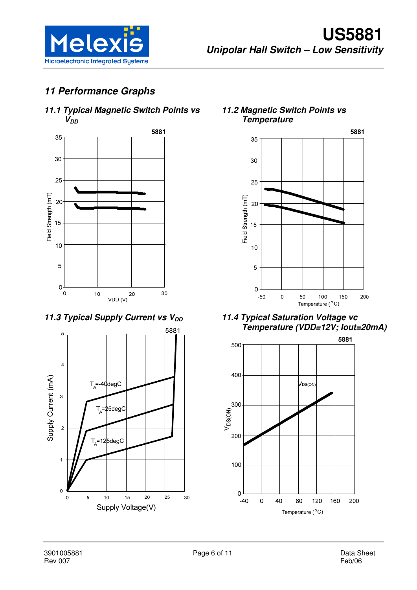

# **11 Performance Graphs**

### **11.1 Typical Magnetic Switch Points vs**   $V_{DD}$



**11.3 Typical Supply Current vs V<sub>DD</sub>** 



**11.2 Magnetic Switch Points vs Temperature** 



**11.4 Typical Saturation Voltage vc Temperature (VDD=12V; Iout=20mA)** 

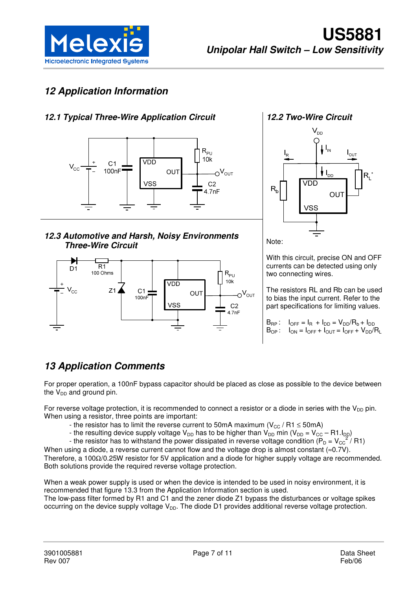

# **12 Application Information**

### **12.1 Typical Three-Wire Application Circuit**



**12.3 Automotive and Harsh, Noisy Environments Three-Wire Circuit** 





Note:

With this circuit, precise ON and OFF currents can be detected using only two connecting wires.

The resistors RL and Rb can be used to bias the input current. Refer to the part specifications for limiting values.

 $B_{RP}$ :  $I_{OFF} = I_R + I_{DD} = V_{DD}/R_b + I_{DD}$  $B_{OP}$ :  $I_{ON} = I_{OFF} + I_{OUT} = I_{OFF} + V_{DD}/R_L$ 

# **13 Application Comments**

For proper operation, a 100nF bypass capacitor should be placed as close as possible to the device between the  $V_{DD}$  and ground pin.

For reverse voltage protection, it is recommended to connect a resistor or a diode in series with the  $V_{DD}$  pin. When using a resistor, three points are important:

- the resistor has to limit the reverse current to 50mA maximum ( $V_{CC}$  / R1  $\leq$  50mA)
- the resulting device supply voltage V<sub>DD</sub> has to be higher than V<sub>DD</sub> min (V<sub>DD</sub> = V<sub>CC</sub> R1.I<sub>DD</sub>)
- the resistor has to withstand the power dissipated in reverse voltage condition ( $\overline{P}_D = V_{CC}^2 / R1$ )

When using a diode, a reverse current cannot flow and the voltage drop is almost constant ( $\approx$ 0.7V).

Therefore, a 100Ω/0.25W resistor for 5V application and a diode for higher supply voltage are recommended. Both solutions provide the required reverse voltage protection.

When a weak power supply is used or when the device is intended to be used in noisy environment, it is recommended that figure 13.3 from the Application Information section is used. The low-pass filter formed by R1 and C1 and the zener diode Z1 bypass the disturbances or voltage spikes occurring on the device supply voltage  $V_{DD}$ . The diode D1 provides additional reverse voltage protection.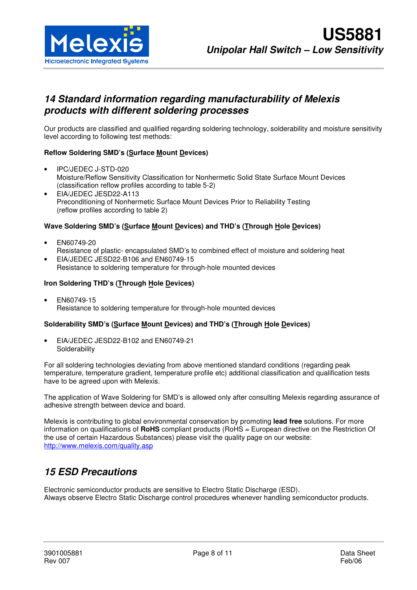

### **14 Standard information regarding manufacturability of Melexis products with different soldering processes**

Our products are classified and qualified regarding soldering technology, solderability and moisture sensitivity level according to following test methods:

#### **Reflow Soldering SMD's (Surface Mount Devices)**

- IPC/JEDEC J-STD-020 Moisture/Reflow Sensitivity Classification for Nonhermetic Solid State Surface Mount Devices (classification reflow profiles according to table 5-2)
- EIA/JEDEC JESD22-A113 Preconditioning of Nonhermetic Surface Mount Devices Prior to Reliability Testing (reflow profiles according to table 2)

#### **Wave Soldering SMD's (Surface Mount Devices) and THD's (Through Hole Devices)**

- EN60749-20 Resistance of plastic- encapsulated SMD's to combined effect of moisture and soldering heat
- EIA/JEDEC JESD22-B106 and EN60749-15 Resistance to soldering temperature for through-hole mounted devices

#### **Iron Soldering THD's (Through Hole Devices)**

• EN60749-15 Resistance to soldering temperature for through-hole mounted devices

#### **Solderability SMD's (Surface Mount Devices) and THD's (Through Hole Devices)**

• EIA/JEDEC JESD22-B102 and EN60749-21 **Solderability** 

For all soldering technologies deviating from above mentioned standard conditions (regarding peak temperature, temperature gradient, temperature profile etc) additional classification and qualification tests have to be agreed upon with Melexis.

The application of Wave Soldering for SMD's is allowed only after consulting Melexis regarding assurance of adhesive strength between device and board.

Melexis is contributing to global environmental conservation by promoting **lead free** solutions. For more information on qualifications of **RoHS** compliant products (RoHS = European directive on the Restriction Of the use of certain Hazardous Substances) please visit the quality page on our website: http://www.melexis.com/quality.asp

### **15 ESD Precautions**

Electronic semiconductor products are sensitive to Electro Static Discharge (ESD). Always observe Electro Static Discharge control procedures whenever handling semiconductor products.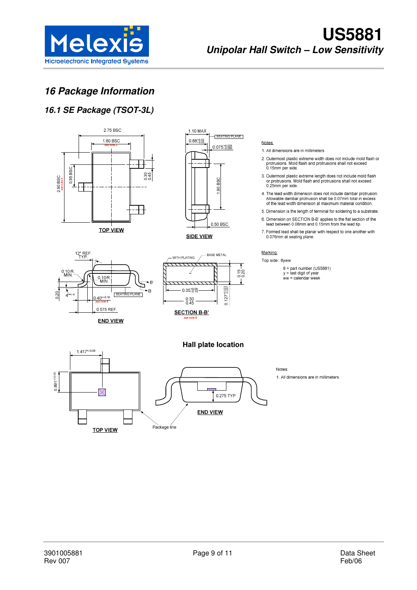

# **16 Package Information**

### **16.1 SE Package (TSOT-3L)**

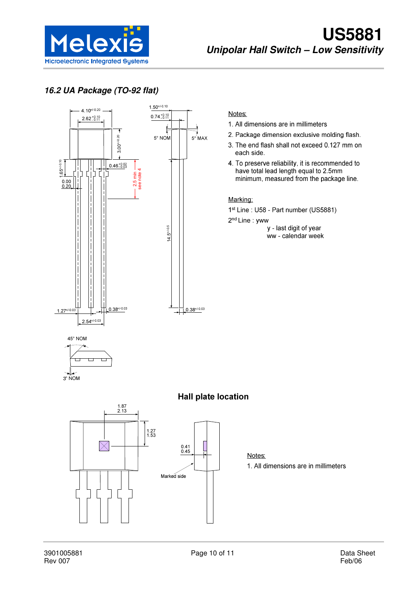

### **16.2 UA Package (TO-92 flat)**



#### Notes:

- 1. All dimensions are in millimeters
- 2. Package dimension exclusive molding flash.
- 3. The end flash shall not exceed 0.127 mm on each side.
- 4. To preserve reliability, it is recommended to have total lead length equal to 2.5mm minimum, measured from the package line.

#### Marking:

1<sup>st</sup> Line: U58 - Part number (US5881)

2<sup>nd</sup> Line: yww

y - last digit of year ww - calendar week





### **Hall plate location**



#### Notes: 1. All dimensions are in millimeters